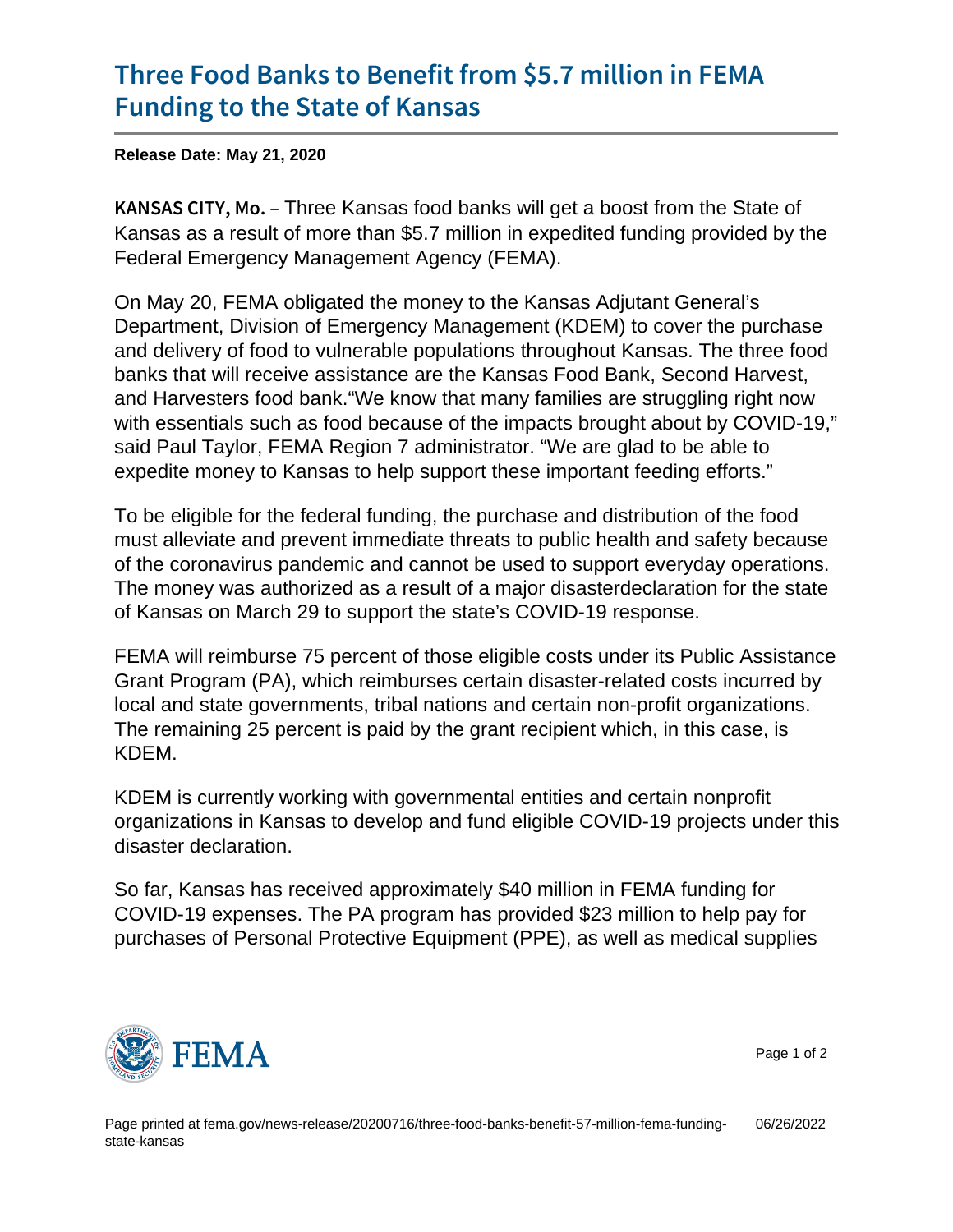## [Three Food Banks to Benefit from](https://www.fema.gov/news-release/20200716/three-food-banks-benefit-57-million-fema-funding-state-kansas) \$5.7 mi [Funding to the Sta](https://www.fema.gov/news-release/20200716/three-food-banks-benefit-57-million-fema-funding-state-kansas)te of Kansas

Release Date: May 21, 2020

 $K$  A N S A S  $C$  I TTY free W *K* ansas food banks will get a boost from the State of Kansas as a result of more than \$5.7 million in expedited funding provided by the Federal Emergency Management Agency (FEMA).

On May 20, FEMA obligated the money to the Kansas Adjutant General's Department, Division of Emergency Management (KDEM) to cover the purchase and delivery of food to vulnerable populations throughout Kansas. The three food banks that will receive assistance are the Kansas Food Bank, Second Harvest, and Harvesters food bank."We know that many families are struggling right now with essentials such as food because of the impacts brought about by COVID-19," said Paul Taylor, FEMA Region 7 administrator. "We are glad to be able to expedite money to Kansas to help support these important feeding efforts."

To be eligible for the federal funding, the purchase and distribution of the food must alleviate and prevent immediate threats to public health and safety because of the coronavirus pandemic and cannot be used to support everyday operations. The money was authorized as a result of a major disasterdeclaration for the state of Kansas on March 29 to support the state's COVID-19 response.

FEMA will reimburse 75 percent of those eligible costs under its Public Assistance Grant Program (PA), which reimburses certain disaster-related costs incurred by local and state governments, tribal nations and certain non-profit organizations. The remaining 25 percent is paid by the grant recipient which, in this case, is KDEM.

KDEM is currently working with governmental entities and certain nonprofit organizations in Kansas to develop and fund eligible COVID-19 projects under this disaster declaration.

So far, Kansas has received approximately \$40 million in FEMA funding for COVID-19 expenses. The PA program has provided \$23 million to help pay for purchases of Personal Protective Equipment (PPE), as well as medical supplies



Page 1 of 2